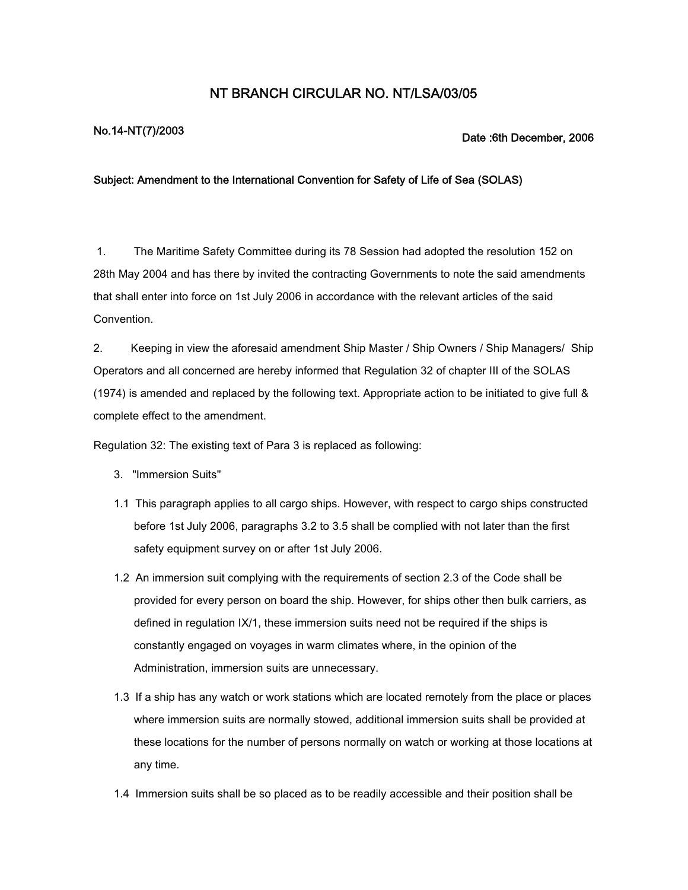## **NT BRANCH CIRCULAR NO. NT/LSA/03/05**

## **No.14-NT(7)/2003 Date :6th December, 2006**

## **Subject: Amendment to the International Convention for Safety of Life of Sea (SOLAS)**

1. The Maritime Safety Committee during its 78 Session had adopted the resolution 152 on 28th May 2004 and has there by invited the contracting Governments to note the said amendments that shall enter into force on 1st July 2006 in accordance with the relevant articles of the said Convention.

2. Keeping in view the aforesaid amendment Ship Master / Ship Owners / Ship Managers/ Ship Operators and all concerned are hereby informed that Regulation 32 of chapter III of the SOLAS (1974) is amended and replaced by the following text. Appropriate action to be initiated to give full & complete effect to the amendment.

Regulation 32: The existing text of Para 3 is replaced as following:

- 3. "Immersion Suits"
- 1.1 This paragraph applies to all cargo ships. However, with respect to cargo ships constructed before 1st July 2006, paragraphs 3.2 to 3.5 shall be complied with not later than the first safety equipment survey on or after 1st July 2006.
- 1.2 An immersion suit complying with the requirements of section 2.3 of the Code shall be provided for every person on board the ship. However, for ships other then bulk carriers, as defined in regulation IX/1, these immersion suits need not be required if the ships is constantly engaged on voyages in warm climates where, in the opinion of the Administration, immersion suits are unnecessary.
- 1.3 If a ship has any watch or work stations which are located remotely from the place or places where immersion suits are normally stowed, additional immersion suits shall be provided at these locations for the number of persons normally on watch or working at those locations at any time.
- 1.4 Immersion suits shall be so placed as to be readily accessible and their position shall be